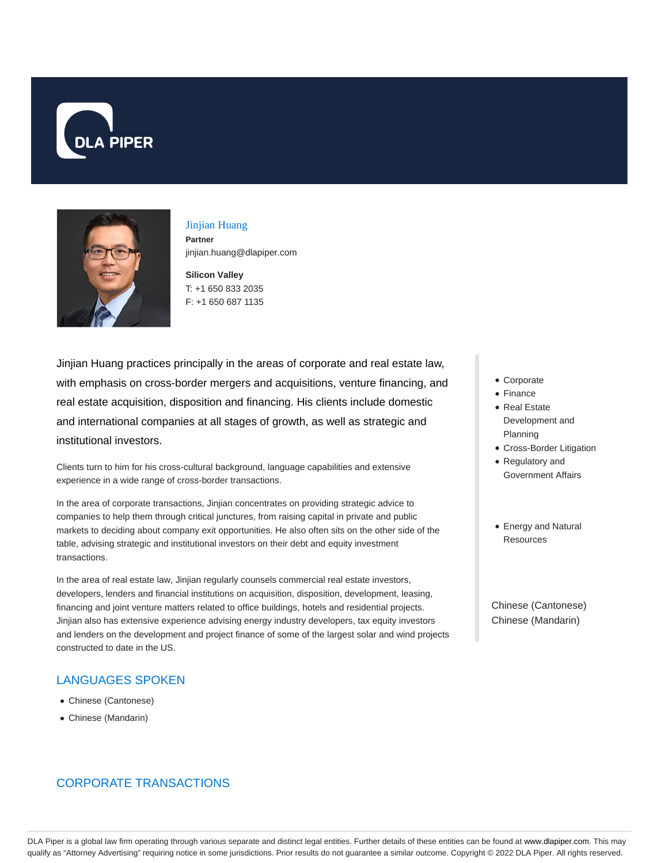



# Jinjian Huang **Partner**

jinjian.huang@dlapiper.com

**Silicon Valley** T: +1 650 833 2035 F: +1 650 687 1135

Jinjian Huang practices principally in the areas of corporate and real estate law, with emphasis on cross-border mergers and acquisitions, venture financing, and real estate acquisition, disposition and financing. His clients include domestic and international companies at all stages of growth, as well as strategic and institutional investors.

Clients turn to him for his cross-cultural background, language capabilities and extensive experience in a wide range of cross-border transactions.

In the area of corporate transactions, Jinjian concentrates on providing strategic advice to companies to help them through critical junctures, from raising capital in private and public markets to deciding about company exit opportunities. He also often sits on the other side of the table, advising strategic and institutional investors on their debt and equity investment transactions.

In the area of real estate law, Jinjian regularly counsels commercial real estate investors, developers, lenders and financial institutions on acquisition, disposition, development, leasing, financing and joint venture matters related to office buildings, hotels and residential projects. Jinjian also has extensive experience advising energy industry developers, tax equity investors and lenders on the development and project finance of some of the largest solar and wind projects constructed to date in the US.

## LANGUAGES SPOKEN

- Chinese (Cantonese)
- Chinese (Mandarin)

# CORPORATE TRANSACTIONS

- Corporate
- Finance
- Real Estate Development and Planning
- Cross-Border Litigation
- Regulatory and
- Government Affairs
- Energy and Natural Resources

Chinese (Cantonese) Chinese (Mandarin)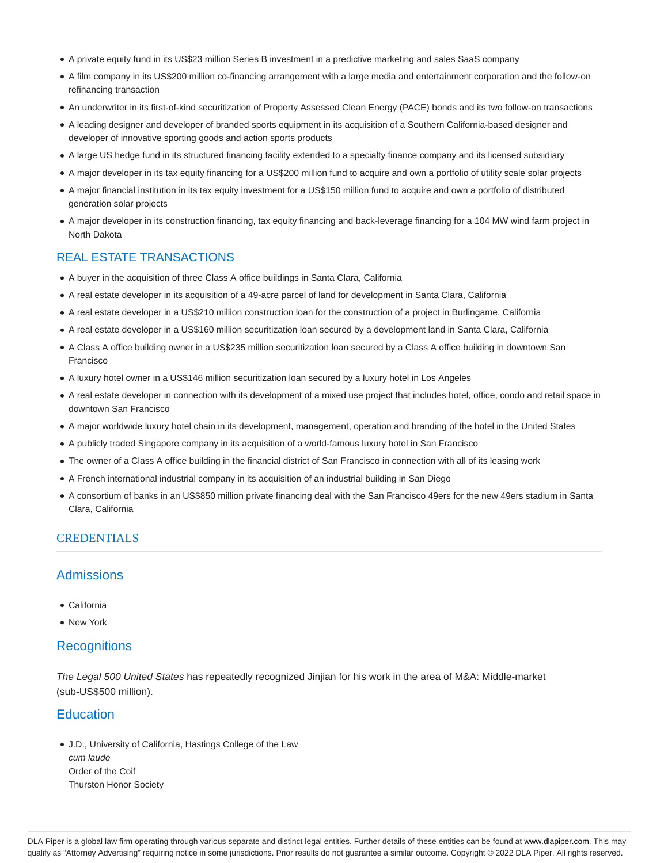- A private equity fund in its US\$23 million Series B investment in a predictive marketing and sales SaaS company
- A film company in its US\$200 million co-financing arrangement with a large media and entertainment corporation and the follow-on refinancing transaction
- An underwriter in its first-of-kind securitization of Property Assessed Clean Energy (PACE) bonds and its two follow-on transactions
- A leading designer and developer of branded sports equipment in its acquisition of a Southern California-based designer and developer of innovative sporting goods and action sports products
- A large US hedge fund in its structured financing facility extended to a specialty finance company and its licensed subsidiary
- A major developer in its tax equity financing for a US\$200 million fund to acquire and own a portfolio of utility scale solar projects
- A major financial institution in its tax equity investment for a US\$150 million fund to acquire and own a portfolio of distributed generation solar projects
- A major developer in its construction financing, tax equity financing and back-leverage financing for a 104 MW wind farm project in North Dakota

#### REAL ESTATE TRANSACTIONS

- A buyer in the acquisition of three Class A office buildings in Santa Clara, California
- A real estate developer in its acquisition of a 49-acre parcel of land for development in Santa Clara, California
- A real estate developer in a US\$210 million construction loan for the construction of a project in Burlingame, California
- A real estate developer in a US\$160 million securitization loan secured by a development land in Santa Clara, California
- A Class A office building owner in a US\$235 million securitization loan secured by a Class A office building in downtown San Francisco
- A luxury hotel owner in a US\$146 million securitization loan secured by a luxury hotel in Los Angeles
- A real estate developer in connection with its development of a mixed use project that includes hotel, office, condo and retail space in downtown San Francisco
- A major worldwide luxury hotel chain in its development, management, operation and branding of the hotel in the United States
- A publicly traded Singapore company in its acquisition of a world-famous luxury hotel in San Francisco
- The owner of a Class A office building in the financial district of San Francisco in connection with all of its leasing work
- A French international industrial company in its acquisition of an industrial building in San Diego
- A consortium of banks in an US\$850 million private financing deal with the San Francisco 49ers for the new 49ers stadium in Santa Clara, California

#### **CREDENTIALS**

### Admissions

- California
- New York

#### **Recognitions**

The Legal 500 United States has repeatedly recognized Jinjian for his work in the area of M&A: Middle-market (sub-US\$500 million).

#### **Education**

J.D., University of California, Hastings College of the Law cum laude Order of the Coif Thurston Honor Society